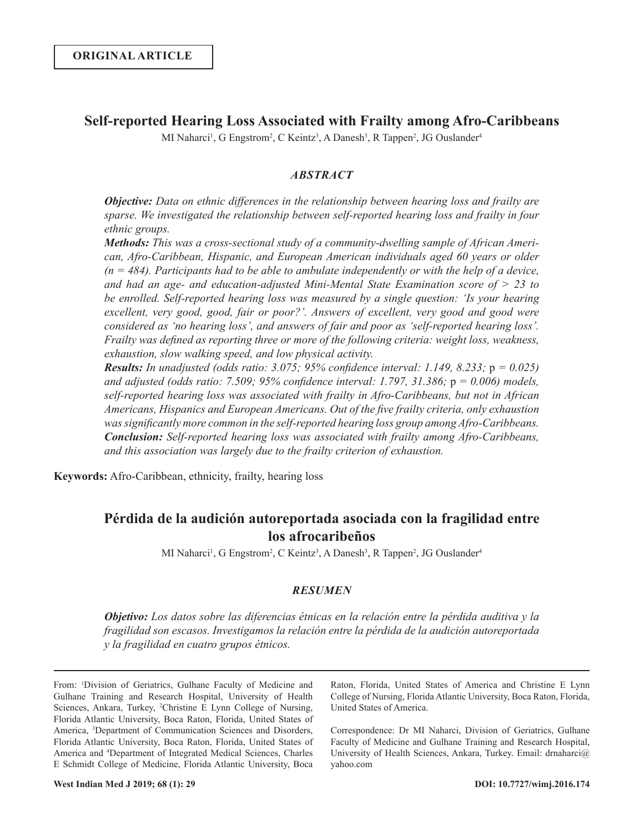## **Self-reported Hearing Loss Associated with Frailty among Afro-Caribbeans**

MI Naharci<sup>1</sup>, G Engstrom<sup>2</sup>, C Keintz<sup>3</sup>, A Danesh<sup>3</sup>, R Tappen<sup>2</sup>, JG Ouslander<sup>4</sup>

## *ABSTRACT*

*Objective: Data on ethnic differences in the relationship between hearing loss and frailty are sparse. We investigated the relationship between self-reported hearing loss and frailty in four ethnic groups.* 

*Methods: This was a cross-sectional study of a community-dwelling sample of African American, Afro-Caribbean, Hispanic, and European American individuals aged 60 years or older (n = 484). Participants had to be able to ambulate independently or with the help of a device, and had an age- and education-adjusted Mini-Mental State Examination score of > 23 to be enrolled. Self-reported hearing loss was measured by a single question: 'Is your hearing excellent, very good, good, fair or poor?'. Answers of excellent, very good and good were considered as 'no hearing loss', and answers of fair and poor as 'self-reported hearing loss'. Frailty was defined as reporting three or more of the following criteria: weight loss, weakness, exhaustion, slow walking speed, and low physical activity.*

*Results: In unadjusted (odds ratio: 3.075; 95% confidence interval: 1.149, 8.233;* p *= 0.025) and adjusted (odds ratio: 7.509; 95% confidence interval: 1.797, 31.386;* p *= 0.006) models, self-reported hearing loss was associated with frailty in Afro-Caribbeans, but not in African Americans, Hispanics and European Americans. Out of the five frailty criteria, only exhaustion was significantly more common in the self-reported hearing loss group among Afro-Caribbeans. Conclusion: Self-reported hearing loss was associated with frailty among Afro-Caribbeans, and this association was largely due to the frailty criterion of exhaustion.* 

**Keywords:** Afro-Caribbean, ethnicity, frailty, hearing loss

# **Pérdida de la audición autoreportada asociada con la fragilidad entre los afrocaribeños**

MI Naharci<sup>1</sup>, G Engstrom<sup>2</sup>, C Keintz<sup>3</sup>, A Danesh<sup>3</sup>, R Tappen<sup>2</sup>, JG Ouslander<sup>4</sup>

## *RESUMEN*

*Objetivo: Los datos sobre las diferencias étnicas en la relación entre la pérdida auditiva y la fragilidad son escasos. Investigamos la relación entre la pérdida de la audición autoreportada y la fragilidad en cuatro grupos étnicos.* 

From: 1 Division of Geriatrics, Gulhane Faculty of Medicine and Gulhane Training and Research Hospital, University of Health Sciences, Ankara, Turkey, <sup>2</sup>Christine E Lynn College of Nursing, Florida Atlantic University, Boca Raton, Florida, United States of America, 3 Department of Communication Sciences and Disorders, Florida Atlantic University, Boca Raton, Florida, United States of America and 4 Department of Integrated Medical Sciences, Charles E Schmidt College of Medicine, Florida Atlantic University, Boca

Raton, Florida, United States of America and Christine E Lynn College of Nursing, Florida Atlantic University, Boca Raton, Florida, United States of America.

Correspondence: Dr MI Naharci, Division of Geriatrics, Gulhane Faculty of Medicine and Gulhane Training and Research Hospital, University of Health Sciences, Ankara, Turkey. Email: drnaharci@ yahoo.com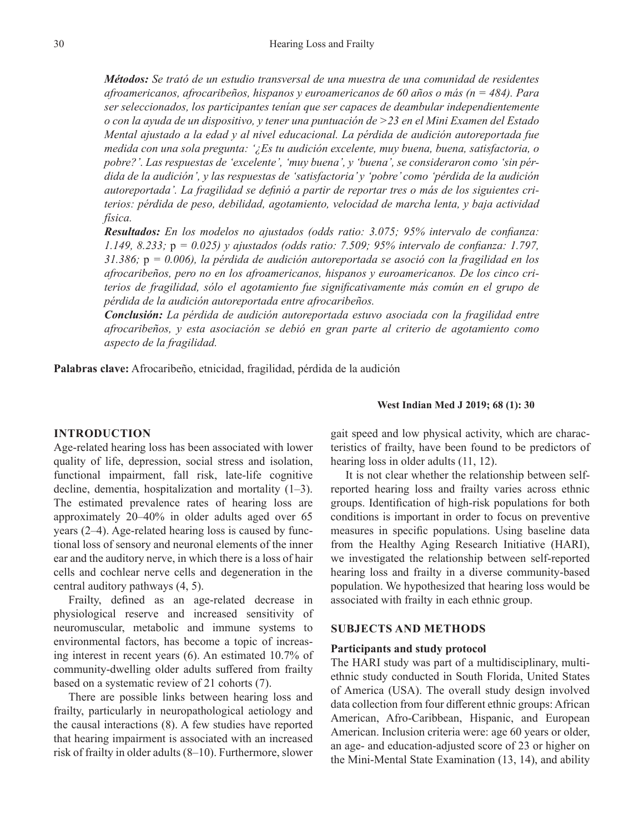*Métodos: Se trató de un estudio transversal de una muestra de una comunidad de residentes afroamericanos, afrocaribeños, hispanos y euroamericanos de 60 años o más (n = 484). Para ser seleccionados, los participantes tenían que ser capaces de deambular independientemente o con la ayuda de un dispositivo, y tener una puntuación de >23 en el Mini Examen del Estado Mental ajustado a la edad y al nivel educacional. La pérdida de audición autoreportada fue medida con una sola pregunta: '¿Es tu audición excelente, muy buena, buena, satisfactoria, o pobre?'. Las respuestas de 'excelente', 'muy buena', y 'buena', se consideraron como 'sin pérdida de la audición', y las respuestas de 'satisfactoria' y 'pobre' como 'pérdida de la audición autoreportada'. La fragilidad se definió a partir de reportar tres o más de los siguientes criterios: pérdida de peso, debilidad, agotamiento, velocidad de marcha lenta, y baja actividad física.*

*Resultados: En los modelos no ajustados (odds ratio: 3.075; 95% intervalo de confianza: 1.149, 8.233;* p *= 0.025) y ajustados (odds ratio: 7.509; 95% intervalo de confianza: 1.797, 31.386;* p *= 0.006), la pérdida de audición autoreportada se asoció con la fragilidad en los afrocaribeños, pero no en los afroamericanos, hispanos y euroamericanos. De los cinco criterios de fragilidad, sólo el agotamiento fue significativamente más común en el grupo de pérdida de la audición autoreportada entre afrocaribeños.* 

*Conclusión: La pérdida de audición autoreportada estuvo asociada con la fragilidad entre afrocaribeños, y esta asociación se debió en gran parte al criterio de agotamiento como aspecto de la fragilidad.*

**Palabras clave:** Afrocaribeño, etnicidad, fragilidad, pérdida de la audición

#### **West Indian Med J 2019; 68 (1): 30**

## **INTRODUCTION**

Age-related hearing loss has been associated with lower quality of life, depression, social stress and isolation, functional impairment, fall risk, late-life cognitive decline, dementia, hospitalization and mortality (1–3). The estimated prevalence rates of hearing loss are approximately 20–40% in older adults aged over 65 years (2–4). Age-related hearing loss is caused by functional loss of sensory and neuronal elements of the inner ear and the auditory nerve, in which there is a loss of hair cells and cochlear nerve cells and degeneration in the central auditory pathways (4, 5).

Frailty, defined as an age-related decrease in physiological reserve and increased sensitivity of neuromuscular, metabolic and immune systems to environmental factors, has become a topic of increasing interest in recent years (6). An estimated 10.7% of community-dwelling older adults suffered from frailty based on a systematic review of 21 cohorts (7).

There are possible links between hearing loss and frailty, particularly in neuropathological aetiology and the causal interactions (8). A few studies have reported that hearing impairment is associated with an increased risk of frailty in older adults (8–10). Furthermore, slower gait speed and low physical activity, which are characteristics of frailty, have been found to be predictors of hearing loss in older adults (11, 12).

It is not clear whether the relationship between selfreported hearing loss and frailty varies across ethnic groups. Identification of high-risk populations for both conditions is important in order to focus on preventive measures in specific populations. Using baseline data from the Healthy Aging Research Initiative (HARI), we investigated the relationship between self-reported hearing loss and frailty in a diverse community-based population. We hypothesized that hearing loss would be associated with frailty in each ethnic group.

## **SUBJECTS AND METHODS**

#### **Participants and study protocol**

The HARI study was part of a multidisciplinary, multiethnic study conducted in South Florida, United States of America (USA). The overall study design involved data collection from four different ethnic groups: African American, Afro-Caribbean, Hispanic, and European American. Inclusion criteria were: age 60 years or older, an age- and education-adjusted score of 23 or higher on the Mini-Mental State Examination (13, 14), and ability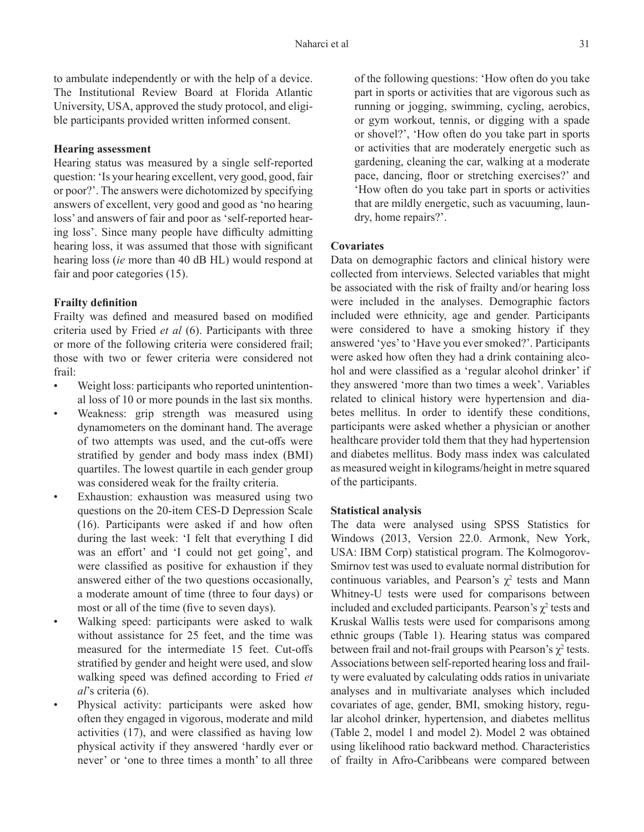to ambulate independently or with the help of a device. The Institutional Review Board at Florida Atlantic University, USA, approved the study protocol, and eligible participants provided written informed consent.

#### **Hearing assessment**

Hearing status was measured by a single self-reported question: 'Is your hearing excellent, very good, good, fair or poor?'. The answers were dichotomized by specifying answers of excellent, very good and good as 'no hearing loss' and answers of fair and poor as 'self-reported hearing loss'. Since many people have difficulty admitting hearing loss, it was assumed that those with significant hearing loss (*ie* more than 40 dB HL) would respond at fair and poor categories (15).

## **Frailty definition**

Frailty was defined and measured based on modified criteria used by Fried *et al* (6). Participants with three or more of the following criteria were considered frail; those with two or fewer criteria were considered not frail:

- Weight loss: participants who reported unintentional loss of 10 or more pounds in the last six months.
- Weakness: grip strength was measured using dynamometers on the dominant hand. The average of two attempts was used, and the cut-offs were stratified by gender and body mass index (BMI) quartiles. The lowest quartile in each gender group was considered weak for the frailty criteria.
- Exhaustion: exhaustion was measured using two questions on the 20-item CES-D Depression Scale (16). Participants were asked if and how often during the last week: 'I felt that everything I did was an effort' and 'I could not get going', and were classified as positive for exhaustion if they answered either of the two questions occasionally, a moderate amount of time (three to four days) or most or all of the time (five to seven days).
- Walking speed: participants were asked to walk without assistance for 25 feet, and the time was measured for the intermediate 15 feet. Cut-offs stratified by gender and height were used, and slow walking speed was defined according to Fried *et al*'s criteria (6).
- Physical activity: participants were asked how often they engaged in vigorous, moderate and mild activities (17), and were classified as having low physical activity if they answered 'hardly ever or never' or 'one to three times a month' to all three

of the following questions: 'How often do you take part in sports or activities that are vigorous such as running or jogging, swimming, cycling, aerobics, or gym workout, tennis, or digging with a spade or shovel?', 'How often do you take part in sports or activities that are moderately energetic such as gardening, cleaning the car, walking at a moderate pace, dancing, floor or stretching exercises?' and 'How often do you take part in sports or activities that are mildly energetic, such as vacuuming, laundry, home repairs?'.

## **Covariates**

Data on demographic factors and clinical history were collected from interviews. Selected variables that might be associated with the risk of frailty and/or hearing loss were included in the analyses. Demographic factors included were ethnicity, age and gender. Participants were considered to have a smoking history if they answered 'yes' to 'Have you ever smoked?'. Participants were asked how often they had a drink containing alcohol and were classified as a 'regular alcohol drinker' if they answered 'more than two times a week'. Variables related to clinical history were hypertension and diabetes mellitus. In order to identify these conditions, participants were asked whether a physician or another healthcare provider told them that they had hypertension and diabetes mellitus. Body mass index was calculated as measured weight in kilograms/height in metre squared of the participants.

#### **Statistical analysis**

The data were analysed using SPSS Statistics for Windows (2013, Version 22.0. Armonk, New York, USA: IBM Corp) statistical program. The Kolmogorov-Smirnov test was used to evaluate normal distribution for continuous variables, and Pearson's  $\chi^2$  tests and Mann Whitney-U tests were used for comparisons between included and excluded participants. Pearson's  $\chi^2$  tests and Kruskal Wallis tests were used for comparisons among ethnic groups (Table 1). Hearing status was compared between frail and not-frail groups with Pearson's  $\chi^2$  tests. Associations between self-reported hearing loss and frailty were evaluated by calculating odds ratios in univariate analyses and in multivariate analyses which included covariates of age, gender, BMI, smoking history, regular alcohol drinker, hypertension, and diabetes mellitus (Table 2, model 1 and model 2). Model 2 was obtained using likelihood ratio backward method. Characteristics of frailty in Afro-Caribbeans were compared between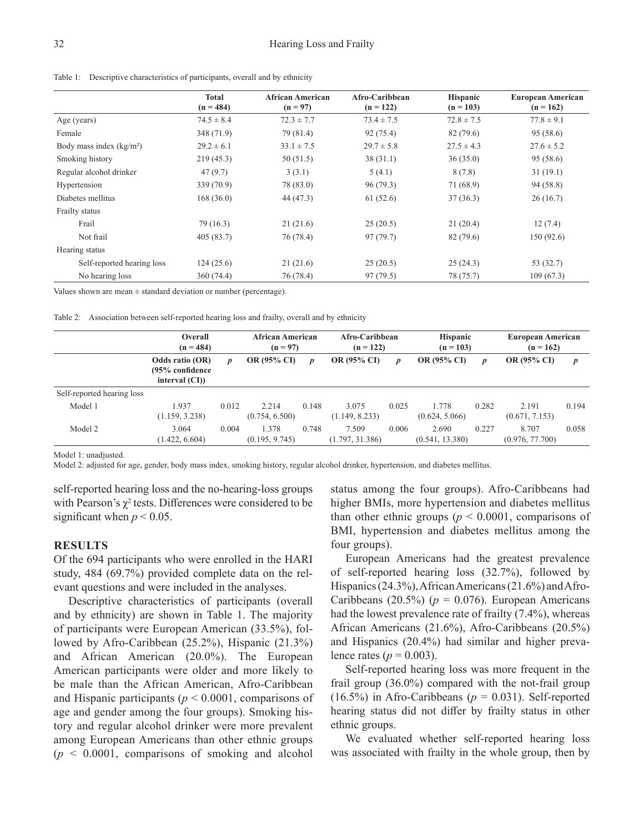| <b>Total</b><br>$(n = 484)$ |                | African American<br>$(n = 97)$ | Afro-Caribbean<br>$(n = 122)$ | <b>Hispanic</b><br>$(n = 103)$ | <b>European American</b><br>$(n = 162)$ |  |
|-----------------------------|----------------|--------------------------------|-------------------------------|--------------------------------|-----------------------------------------|--|
| Age (years)                 | $74.5 \pm 8.4$ | $72.3 \pm 7.7$                 | $73.4 \pm 7.5$                | $72.8 \pm 7.5$                 | $77.8 \pm 9.1$                          |  |
| Female                      | 348 (71.9)     | 79 (81.4)                      | 92 (75.4)                     | 82 (79.6)                      | 95(58.6)                                |  |
| Body mass index $(kg/m2)$   | $29.2 \pm 6.1$ | $33.1 \pm 7.5$                 | $29.7 \pm 5.8$                | $27.5 \pm 4.3$                 | $27.6 \pm 5.2$                          |  |
| Smoking history             | 219(45.3)      | 50(51.5)                       | 38(31.1)                      | 36(35.0)                       | 95 (58.6)                               |  |
| Regular alcohol drinker     | 47(9.7)        | 3(3.1)                         | 5(4.1)                        | 8(7.8)                         | 31(19.1)                                |  |
| Hypertension                | 339 (70.9)     | 78 (83.0)                      | 96(79.3)                      | 71 (68.9)                      | 94 (58.8)                               |  |
| Diabetes mellitus           | 168(36.0)      | 44 (47.3)                      | 61(52.6)                      | 37(36.3)                       | 26(16.7)                                |  |
| Frailty status              |                |                                |                               |                                |                                         |  |
| Frail                       | 79 (16.3)      | 21(21.6)                       | 25(20.5)                      | 21(20.4)                       | 12(7.4)                                 |  |
| Not frail                   | 405(83.7)      | 76 (78.4)                      | 97 (79.7)                     | 82 (79.6)                      | 150(92.6)                               |  |
| Hearing status              |                |                                |                               |                                |                                         |  |
| Self-reported hearing loss  | 124(25.6)      | 21(21.6)                       | 25(20.5)                      | 25(24.3)                       | 53 (32.7)                               |  |
| No hearing loss             | 360(74.4)      | 76 (78.4)                      | 97 (79.5)                     | 78 (75.7)                      | 109(67.3)                               |  |

Table 1: Descriptive characteristics of participants, overall and by ethnicity

Values shown are mean  $\pm$  standard deviation or number (percentage).

Table 2: Association between self-reported hearing loss and frailty, overall and by ethnicity

|                            | Overall<br>$(n = 484)$                                |       | <b>African American</b><br>$(n = 97)$ |       | Afro-Caribbean<br>$(n = 122)$ |                  | <b>Hispanic</b><br>$(n = 103)$ |                  | <b>European American</b><br>$(n = 162)$ |                  |
|----------------------------|-------------------------------------------------------|-------|---------------------------------------|-------|-------------------------------|------------------|--------------------------------|------------------|-----------------------------------------|------------------|
|                            | Odds ratio (OR)<br>(95% confidence<br>interval $(CI)$ | p     | <b>OR (95% CI)</b>                    | D     | <b>OR (95% CI)</b>            | $\boldsymbol{p}$ | <b>OR (95% CI)</b>             | $\boldsymbol{p}$ | <b>OR (95% CI)</b>                      | $\boldsymbol{p}$ |
| Self-reported hearing loss |                                                       |       |                                       |       |                               |                  |                                |                  |                                         |                  |
| Model 1                    | 1.937<br>(1.159, 3.238)                               | 0.012 | 2.214<br>(0.754, 6.500)               | 0.148 | 3.075<br>(1.149, 8.233)       | 0.025            | 1.778<br>(0.624, 5.066)        | 0.282            | 2.191<br>(0.671, 7.153)                 | 0.194            |
| Model 2                    | 3.064<br>(1.422, 6.604)                               | 0.004 | 1.378<br>(0.195, 9.745)               | 0.748 | 7.509<br>(1.797, 31.386)      | 0.006            | 2.690<br>(0.541, 13.380)       | 0.227            | 8.707<br>(0.976, 77.700)                | 0.058            |

Model 1: unadjusted.

Model 2: adjusted for age, gender, body mass index, smoking history, regular alcohol drinker, hypertension, and diabetes mellitus.

self-reported hearing loss and the no-hearing-loss groups with Pearson's  $\chi^2$  tests. Differences were considered to be significant when  $p < 0.05$ .

## **RESULTS**

Of the 694 participants who were enrolled in the HARI study, 484 (69.7%) provided complete data on the relevant questions and were included in the analyses.

Descriptive characteristics of participants (overall and by ethnicity) are shown in Table 1. The majority of participants were European American (33.5%), followed by Afro-Caribbean (25.2%), Hispanic (21.3%) and African American (20.0%). The European American participants were older and more likely to be male than the African American, Afro-Caribbean and Hispanic participants (*p* < 0.0001, comparisons of age and gender among the four groups). Smoking history and regular alcohol drinker were more prevalent among European Americans than other ethnic groups  $(p \leq 0.0001$ , comparisons of smoking and alcohol

status among the four groups). Afro-Caribbeans had higher BMIs, more hypertension and diabetes mellitus than other ethnic groups ( $p < 0.0001$ , comparisons of BMI, hypertension and diabetes mellitus among the four groups).

European Americans had the greatest prevalence of self-reported hearing loss (32.7%), followed by Hispanics (24.3%), African Americans (21.6%) and Afro-Caribbeans (20.5%) ( $p = 0.076$ ). European Americans had the lowest prevalence rate of frailty (7.4%), whereas African Americans (21.6%), Afro-Caribbeans (20.5%) and Hispanics (20.4%) had similar and higher prevalence rates ( $p = 0.003$ ).

Self-reported hearing loss was more frequent in the frail group (36.0%) compared with the not-frail group (16.5%) in Afro-Caribbeans ( $p = 0.031$ ). Self-reported hearing status did not differ by frailty status in other ethnic groups.

We evaluated whether self-reported hearing loss was associated with frailty in the whole group, then by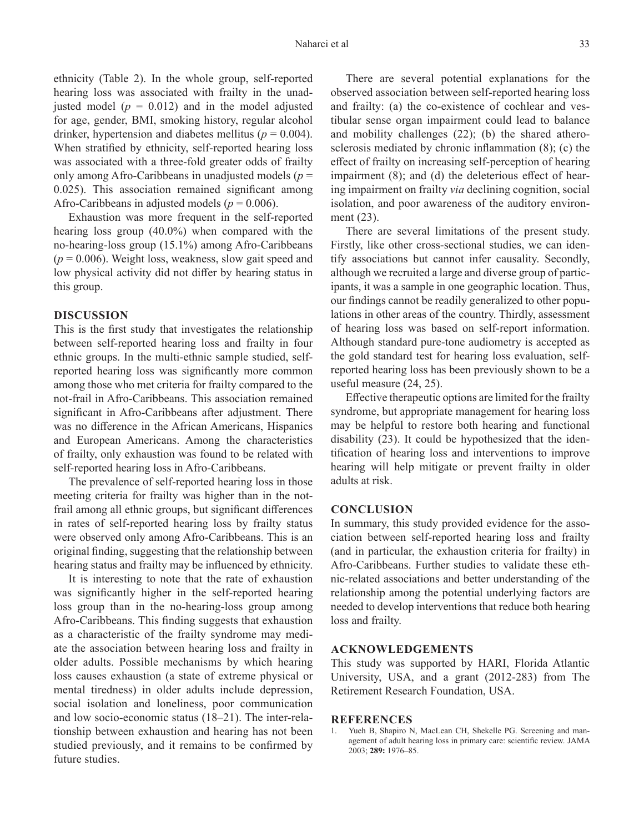ethnicity (Table 2). In the whole group, self-reported hearing loss was associated with frailty in the unadjusted model  $(p = 0.012)$  and in the model adjusted for age, gender, BMI, smoking history, regular alcohol drinker, hypertension and diabetes mellitus ( $p = 0.004$ ). When stratified by ethnicity, self-reported hearing loss was associated with a three-fold greater odds of frailty only among Afro-Caribbeans in unadjusted models (*p* = 0.025). This association remained significant among Afro-Caribbeans in adjusted models ( $p = 0.006$ ).

Exhaustion was more frequent in the self-reported hearing loss group (40.0%) when compared with the no-hearing-loss group (15.1%) among Afro-Caribbeans  $(p = 0.006)$ . Weight loss, weakness, slow gait speed and low physical activity did not differ by hearing status in this group.

## **DISCUSSION**

This is the first study that investigates the relationship between self-reported hearing loss and frailty in four ethnic groups. In the multi-ethnic sample studied, selfreported hearing loss was significantly more common among those who met criteria for frailty compared to the not-frail in Afro-Caribbeans. This association remained significant in Afro-Caribbeans after adjustment. There was no difference in the African Americans, Hispanics and European Americans. Among the characteristics of frailty, only exhaustion was found to be related with self-reported hearing loss in Afro-Caribbeans.

The prevalence of self-reported hearing loss in those meeting criteria for frailty was higher than in the notfrail among all ethnic groups, but significant differences in rates of self-reported hearing loss by frailty status were observed only among Afro-Caribbeans. This is an original finding, suggesting that the relationship between hearing status and frailty may be influenced by ethnicity.

It is interesting to note that the rate of exhaustion was significantly higher in the self-reported hearing loss group than in the no-hearing-loss group among Afro-Caribbeans. This finding suggests that exhaustion as a characteristic of the frailty syndrome may mediate the association between hearing loss and frailty in older adults. Possible mechanisms by which hearing loss causes exhaustion (a state of extreme physical or mental tiredness) in older adults include depression, social isolation and loneliness, poor communication and low socio-economic status (18–21). The inter-relationship between exhaustion and hearing has not been studied previously, and it remains to be confirmed by future studies.

There are several potential explanations for the observed association between self-reported hearing loss and frailty: (a) the co-existence of cochlear and vestibular sense organ impairment could lead to balance and mobility challenges (22); (b) the shared atherosclerosis mediated by chronic inflammation (8); (c) the effect of frailty on increasing self-perception of hearing impairment (8); and (d) the deleterious effect of hearing impairment on frailty *via* declining cognition, social isolation, and poor awareness of the auditory environment (23).

There are several limitations of the present study. Firstly, like other cross-sectional studies, we can identify associations but cannot infer causality. Secondly, although we recruited a large and diverse group of participants, it was a sample in one geographic location. Thus, our findings cannot be readily generalized to other populations in other areas of the country. Thirdly, assessment of hearing loss was based on self-report information. Although standard pure-tone audiometry is accepted as the gold standard test for hearing loss evaluation, selfreported hearing loss has been previously shown to be a useful measure (24, 25).

Effective therapeutic options are limited for the frailty syndrome, but appropriate management for hearing loss may be helpful to restore both hearing and functional disability (23). It could be hypothesized that the identification of hearing loss and interventions to improve hearing will help mitigate or prevent frailty in older adults at risk.

#### **CONCLUSION**

In summary, this study provided evidence for the association between self-reported hearing loss and frailty (and in particular, the exhaustion criteria for frailty) in Afro-Caribbeans. Further studies to validate these ethnic-related associations and better understanding of the relationship among the potential underlying factors are needed to develop interventions that reduce both hearing loss and frailty.

#### **ACKNOWLEDGEMENTS**

This study was supported by HARI, Florida Atlantic University, USA, and a grant (2012-283) from The Retirement Research Foundation, USA.

#### **REFERENCES**

1. Yueh B, Shapiro N, MacLean CH, Shekelle PG. Screening and management of adult hearing loss in primary care: scientific review. JAMA 2003; **289:** 1976–85.